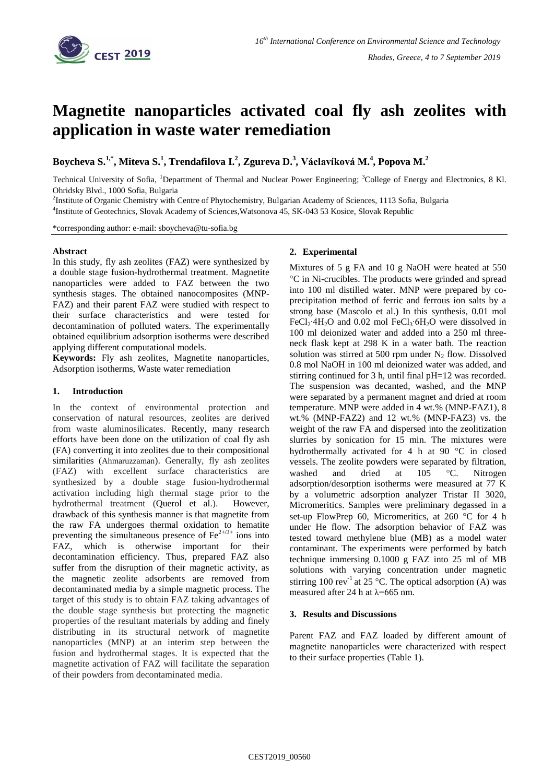

# **Magnetite nanoparticles activated coal fly ash zeolites with application in waste water remediation**

**Boycheva S. 1,\* , Miteva S.<sup>1</sup> , Trendafilova I.<sup>2</sup> , Zgureva D. 3 , Václavíková M.<sup>4</sup> , Popova M.<sup>2</sup>**

Technical University of Sofia, <sup>1</sup>Department of Thermal and Nuclear Power Engineering; <sup>3</sup>College of Energy and Electronics, 8 Kl. Ohridsky Blvd., 1000 Sofia, Bulgaria

<sup>2</sup>Institute of Organic Chemistry with Centre of Phytochemistry, Bulgarian Academy of Sciences, 1113 Sofia, Bulgaria 4 Institute of Geotechnics, Slovak Academy of Sciences,Watsonova 45, SK-043 53 Kosice, Slovak Republic

\*corresponding author: e-mail: sboycheva@tu-sofia.bg

# **Abstract**

In this study, fly ash zeolites (FAZ) were synthesized by a double stage fusion-hydrothermal treatment. Magnetite nanoparticles were added to FAZ between the two synthesis stages. The obtained nanocomposites (MNP-FAZ) and their parent FAZ were studied with respect to their surface characteristics and were tested for decontamination of polluted waters. The experimentally obtained equilibrium adsorption isotherms were described applying different computational models.

**Keywords:** Fly ash zeolites, Magnetite nanoparticles, Adsorption isotherms, Waste water remediation

#### **1. Introduction**

In the context of environmental protection and conservation of natural resources, zeolites are derived from waste aluminosilicates. Recently, many research efforts have been done on the utilization of coal fly ash (FA) converting it into zeolites due to their compositional similarities (Ahmaruzzaman). Generally, fly ash zeolites (FAZ) with excellent surface characteristics are synthesized by a double stage fusion-hydrothermal activation including high thermal stage prior to the hydrothermal treatment (Querol et al.). However, drawback of this synthesis manner is that magnetite from the raw FA undergoes thermal oxidation to hematite preventing the simultaneous presence of  $\text{Fe}^{2+/3+}$  ions into FAZ, which is otherwise important for their decontamination efficiency. Thus, prepared FAZ also suffer from the disruption of their magnetic activity, as the magnetic zeolite adsorbents are removed from decontaminated media by a simple magnetic process. The target of this study is to obtain FAZ taking advantages of the double stage synthesis but protecting the magnetic properties of the resultant materials by adding and finely distributing in its structural network of magnetite nanoparticles (MNP) at an interim step between the fusion and hydrothermal stages. It is expected that the magnetite activation of FAZ will facilitate the separation of their powders from decontaminated media.

# **2. Experimental**

Mixtures of 5 g FA and 10 g NaOH were heated at 550 C in Ni-crucibles. The products were grinded and spread into 100 ml distilled water. MNP were prepared by coprecipitation method of ferric and ferrous ion salts by a strong base (Mascolo et al.) In this synthesis, 0.01 mol FeCl<sub>2</sub>⋅4H<sub>2</sub>O and 0.02 mol FeCl<sub>3</sub>⋅6H<sub>2</sub>O were dissolved in 100 ml deionized water and added into a 250 ml threeneck flask kept at 298 K in a water bath. The reaction solution was stirred at 500 rpm under  $N_2$  flow. Dissolved 0.8 mol NaOH in 100 ml deionized water was added, and stirring continued for 3 h, until final pH=12 was recorded. The suspension was decanted, washed, and the MNP were separated by a permanent magnet and dried at room temperature. MNP were added in 4 wt.% (MNP-FAZ1), 8 wt.% (MNP-FAZ2) and 12 wt.% (MNP-FAZ3) vs. the weight of the raw FA and dispersed into the zeolitization slurries by sonication for 15 min. The mixtures were hydrothermally activated for 4 h at 90  $\degree$ C in closed vessels. The zeolite powders were separated by filtration, washed and dried at 105 °C. Nitrogen adsorption/desorption isotherms were measured at 77 K by a volumetric adsorption analyzer Tristar II 3020, Micromeritics. Samples were preliminary degassed in a set-up FlowPrep 60, Micromeritics, at 260  $\degree$ C for 4 h under He flow. The adsorption behavior of FAZ was tested toward methylene blue (MB) as a model water contaminant. The experiments were performed by batch technique immersing 0.1000 g FAZ into 25 ml of MB solutions with varying concentration under magnetic stirring 100 rev<sup>-1</sup> at 25 °C. The optical adsorption (A) was measured after 24 h at  $\lambda$ =665 nm.

#### **3. Results and Discussions**

Parent FAZ and FAZ loaded by different amount of magnetite nanoparticles were characterized with respect to their surface properties (Table 1).